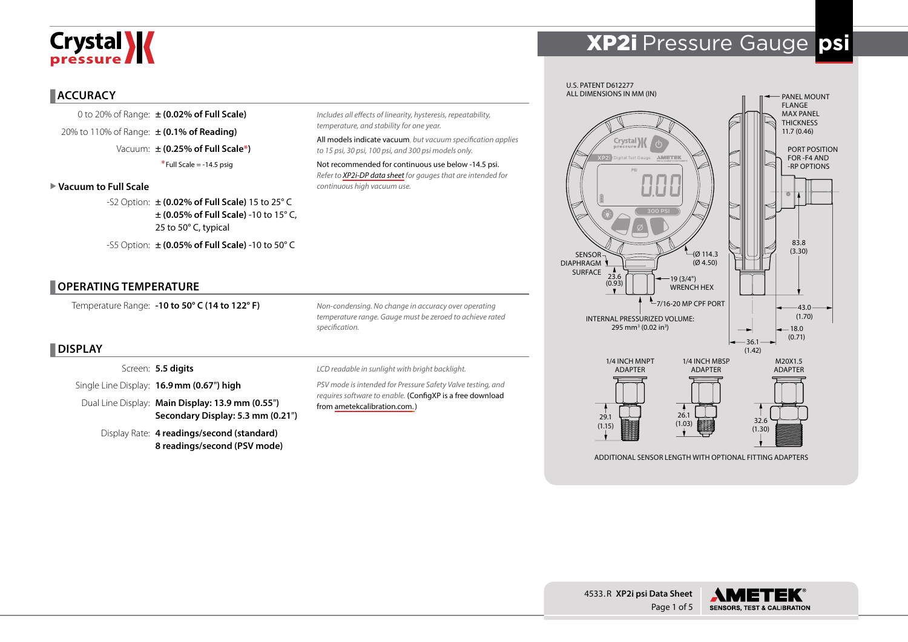# Crystal **X**

# XP2i Pressure Gauge **psi**

### **ACCURACY**

0 to 20% of Range: **± (0.02% of Full Scale)** 20% to 110% of Range: **± (0.1% of Reading)** Vacuum: **± (0.25% of Full Scale\*)**  $*$ Full Scale = -14.5 psig

#### X **Vacuum to Full Scale**

-S2 Option: **± (0.02% of Full Scale)** 15 to 25° C **± (0.05% of Full Scale)** -10 to 15° C, 25 to 50° C, typical -S5 Option: **± (0.05% of Full Scale)** -10 to 50° C

### **OPERATING TEMPERATURE**

Temperature Range: **-10 to 50° C (14 to 122° F)**

*Non-condensing. No change in accuracy over operating temperature range. Gauge must be zeroed to achieve rated specification.*

*Includes all effects of linearity, hysteresis, repeatability,* 

*to 15 psi, 30 psi, 100 psi, and 300 psi models only.* Not recommended for continuous use below -14.5 psi. *Refer to [XP2i-DP data sheet](http://www.ametekcalibration.com/products/pressure/digital-pressure-gauges/xp2i-dp-differential-pressure-gauge) for gauges that are intended for* 

All models indicate vacuum, *but vacuum specification applies* 

*temperature, and stability for one year.*

*continuous high vacuum use.* 

## **DISPLAY**

Screen: **5.5 digits**

Single Line Display: **16.9mm (0.67**"**) high**

Dual Line Display: **Main Display: 13.9 mm (0.55**"**) Secondary Display: 5.3 mm (0.21**"**)**

Display Rate: **4 readings/second (standard) 8 readings/second (PSV mode)** *LCD readable in sunlight with bright backlight.*

*PSV mode is intended for Pressure Safety Valve testing, and requires software to enable.* (ConfigXP is a free download from [ametekcalibration.com.\)](http://www.ametekcalibration.com/products/software/configuration-software/configxp-configuration-software)



ADDITIONAL SENSOR LENGTH WITH OPTIONAL FITTING ADAPTERS



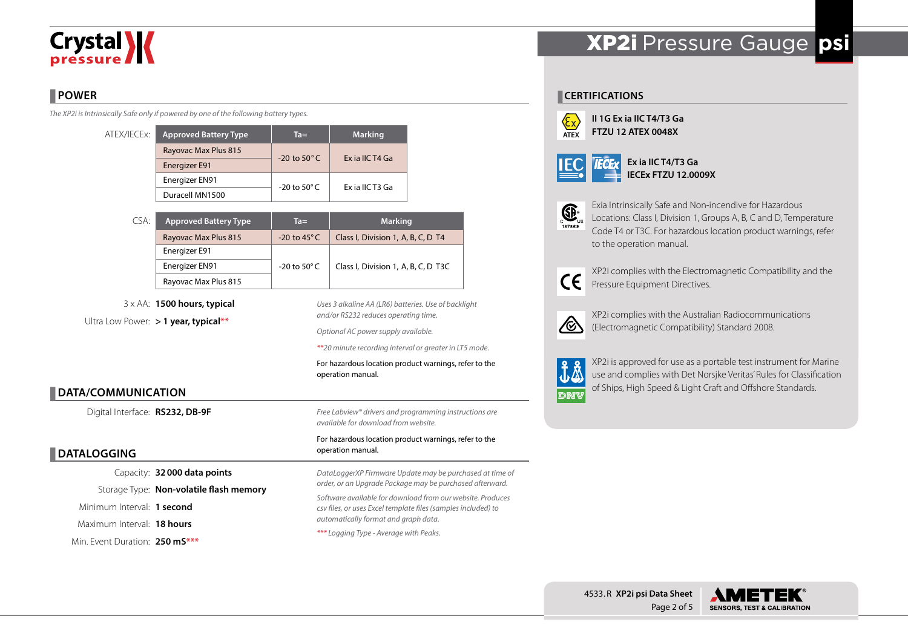# **Crystal >>>>**

## **POWER**

*The XP2i is Intrinsically Safe only if powered by one of the following battery types.*

| ATEX/IECEx: | <b>Approved Battery Type</b> | $Ta =$                  | <b>Marking</b>  |  |
|-------------|------------------------------|-------------------------|-----------------|--|
|             | Rayovac Max Plus 815         | $-20$ to $50^{\circ}$ C | Ex ia IIC T4 Ga |  |
|             | <b>Energizer E91</b>         |                         |                 |  |
|             | Energizer EN91               | $-20$ to 50 $\degree$ C | Ex ia IIC T3 Ga |  |
|             | Duracell MN1500              |                         |                 |  |

| CSA: | <b>Approved Battery Type</b> | $Ta =$                  | <b>Marking</b>                      |  |  |  |
|------|------------------------------|-------------------------|-------------------------------------|--|--|--|
|      | Rayovac Max Plus 815         | $-20$ to 45 $\degree$ C | Class I, Division 1, A, B, C, D T4  |  |  |  |
|      | Energizer E91                |                         |                                     |  |  |  |
|      | Energizer EN91               | -20 to 50 $^{\circ}$ C  | Class I, Division 1, A, B, C, D T3C |  |  |  |
|      | Rayovac Max Plus 815         |                         |                                     |  |  |  |

3 x AA: **1500 hours, typical** Ultra Low Power: **> 1 year, typical\*\***

*Uses 3 alkaline AA (LR6) batteries. Use of backlight and/or RS232 reduces operating time.*

*Optional AC power supply available.*

*\*\*20 minute recording interval or greater in LT5 mode.*

For hazardous location product warnings, refer to the operation manual.

## **DATA/COMMUNICATION**

Digital Interface: **RS232, DB-9F**

## **DATALOGGING**

Capacity: **32000 data points** Storage Type: **Non-volatile flash memory** Minimum Interval: **1 second** Maximum Interval: **18 hours** Min. Event Duration: **250 mS\*\*\***

*Free Labview® drivers and programming instructions are available for download from website.*

#### For hazardous location product warnings, refer to the operation manual.

*DataLoggerXP Firmware Update may be purchased at time of order, or an Upgrade Package may be purchased afterward. Software available for download from our website. Produces csv files, or uses Excel template files (samples included) to automatically format and graph data. \*\*\* Logging Type - Average with Peaks.*

# XP2i Pressure Gauge **psi**

### **CERTIFICATIONS**



**II 1G Ex ia IIC T4/T3 Ga FTZU 12 ATEX 0048X**

to the operation manual.

|--|--|

**Ex ia IIC T4/T3 Ga IECEx FTZU 12.0009X**



Exia Intrinsically Safe and Non-incendive for Hazardous Locations: Class I, Division 1, Groups A, B, C and D, Temperature Code T4 or T3C. For hazardous location product warnings, refer



XP2i complies with the Electromagnetic Compatibility and the Pressure Equipment Directives.



XP2i complies with the Australian Radiocommunications (Electromagnetic Compatibility) Standard 2008.



XP2i is approved for use as a portable test instrument for Marine use and complies with Det Norsjke Veritas' Rules for Classification of Ships, High Speed & Light Craft and Offshore Standards.

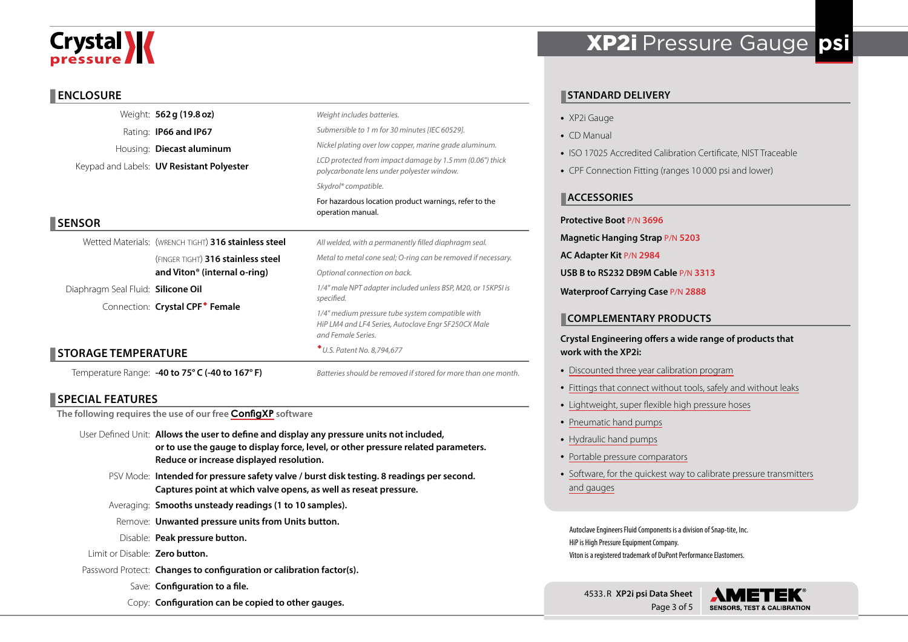# **Crystal \/**

### **ENCLOSURE**

|                                    | Weight: 562 g (19.8 oz)                              | Weight includes batteries.                                                                                                                                                                                  |  |  |  |  |  |  |
|------------------------------------|------------------------------------------------------|-------------------------------------------------------------------------------------------------------------------------------------------------------------------------------------------------------------|--|--|--|--|--|--|
|                                    | Rating: <b>IP66 and IP67</b>                         | Submersible to 1 m for 30 minutes [IEC 60529].                                                                                                                                                              |  |  |  |  |  |  |
|                                    | Housing: Diecast aluminum                            | Nickel plating over low copper, marine grade aluminum.                                                                                                                                                      |  |  |  |  |  |  |
|                                    | Keypad and Labels: <b>UV Resistant Polyester</b>     | LCD protected from impact damage by 1.5 mm (0.06") thick<br>polycarbonate lens under polyester window.                                                                                                      |  |  |  |  |  |  |
|                                    |                                                      | Skydrol® compatible.                                                                                                                                                                                        |  |  |  |  |  |  |
|                                    |                                                      | For hazardous location product warnings, refer to the<br>operation manual.                                                                                                                                  |  |  |  |  |  |  |
| <b>SENSOR</b>                      |                                                      |                                                                                                                                                                                                             |  |  |  |  |  |  |
|                                    | Wetted Materials: (WRENCH TIGHT) 316 stainless steel | All welded, with a permanently filled diaphragm seal.                                                                                                                                                       |  |  |  |  |  |  |
|                                    | (FINGER TIGHT) 316 stainless steel                   | Metal to metal cone seal; O-ring can be removed if necessary.<br>Optional connection on back.                                                                                                               |  |  |  |  |  |  |
|                                    | and Viton <sup>®</sup> (internal o-ring)             |                                                                                                                                                                                                             |  |  |  |  |  |  |
| Diaphragm Seal Fluid: Silicone Oil |                                                      | 1/4" male NPT adapter included unless BSP, M20, or 15KPSI is<br>specified.<br>1/4" medium pressure tube system compatible with<br>HiP LM4 and LF4 Series, Autoclave Engr SF250CX Male<br>and Female Series. |  |  |  |  |  |  |
|                                    | Connection: Crystal CPF <sup>*</sup> Female          |                                                                                                                                                                                                             |  |  |  |  |  |  |
|                                    |                                                      |                                                                                                                                                                                                             |  |  |  |  |  |  |
| <b>STORAGE TEMPERATURE</b>         |                                                      | * U.S. Patent No. 8,794,677                                                                                                                                                                                 |  |  |  |  |  |  |
|                                    | Temperature Range: -40 to 75° C (-40 to 167° F)      | Batteries should be removed if stored for more than one month.                                                                                                                                              |  |  |  |  |  |  |

### **SPECIAL FEATURES**

**The following requires the use of our free [ConfigXP](http://www.ametekcalibration.com/products/software/configuration-software/configxp-configuration-software) software**

- User Defined Unit: **Allows the user to define and display any pressure units not included, or to use the gauge to display force, level, or other pressure related parameters. Reduce or increase displayed resolution.**
	- PSV Mode: **Intended for pressure safety valve / burst disk testing. 8 readings per second. Captures point at which valve opens, as well as reseat pressure.**
	- Averaging: **Smooths unsteady readings (1 to 10 samples).**
	- Remove: **Unwanted pressure units from Units button.**
	- Disable: **Peak pressure button.**
- Limit or Disable: **Zero button.**
- Password Protect: **Changes to configuration or calibration factor(s).**
	- Save: **Configuration to a file.**
	- Copy: **Configuration can be copied to other gauges.**

# XP2i Pressure Gauge **psi**

### **STANDARD DELIVERY**

- XP2i Gauge
- CD Manual
- ISO 17025 Accredited Calibration Certificate, NIST Traceable
- CPF Connection Fitting (ranges 10 000 psi and lower)

### **ACCESSORIES**

#### **Protective Boot** P/N **3696**

- **Magnetic Hanging Strap** P/N **5203**
- **AC Adapter Kit** P/N **2984**

**USB B to RS232 DB9M Cable** P/N **3313**

**Waterproof Carrying Case** P/N **2888**

### **COMPLEMENTARY PRODUCTS**

### **Crystal Engineering offers a wide range of products that work with the XP2i:**

- [Discounted three year calibration program](http://www.ametekcalibration.com/-/media/ametekcalibration/download_links/pressure/xp2i/ametekcal%20flyer.pdf)
- [Fittings that connect without tools, safely and without leaks](http://www.ametekcalibration.com/products/pump-systems/pressure-fittings/cpf-crystal-pressure-fittings)
- [Lightweight, super flexible high pressure hoses](http://www.ametekcalibration.com/products/pump-systems/pressure-fittings/cpf-crystal-pressure-fittings)
- [Pneumatic hand pumps](http://www.ametekcalibration.com/products/pump-systems/pneumatic-hand-pumps/t-900-series-pneumatic-hand-pump)
- [Hydraulic hand pumps](http://www.ametekcalibration.com/products/pump-systems/hydraulic-hand-pumps/t-600-series-hydraulic-hand-pump)
- [Portable pressure comparators](http://www.ametekcalibration.com/products/pump-systems/pressure-comparators)
- [Software, for the quickest way to calibrate pressure transmitters](http://www.ametekcalibration.com/products/software/calibration-software/fastcalxp-calibration-software) [and gauges](http://www.ametekcalibration.com/products/software/calibration-software/fastcalxp-calibration-software)

Autoclave Engineers Fluid Components is a division of Snap-tite, Inc. HiP is High Pressure Equipment Company. Viton is a registered trademark of DuPont Performance Elastomers.

4533.R **XP2i psi Data Sheet** Page 3 of 5 **SENSORS, TEST & CALIBRATION**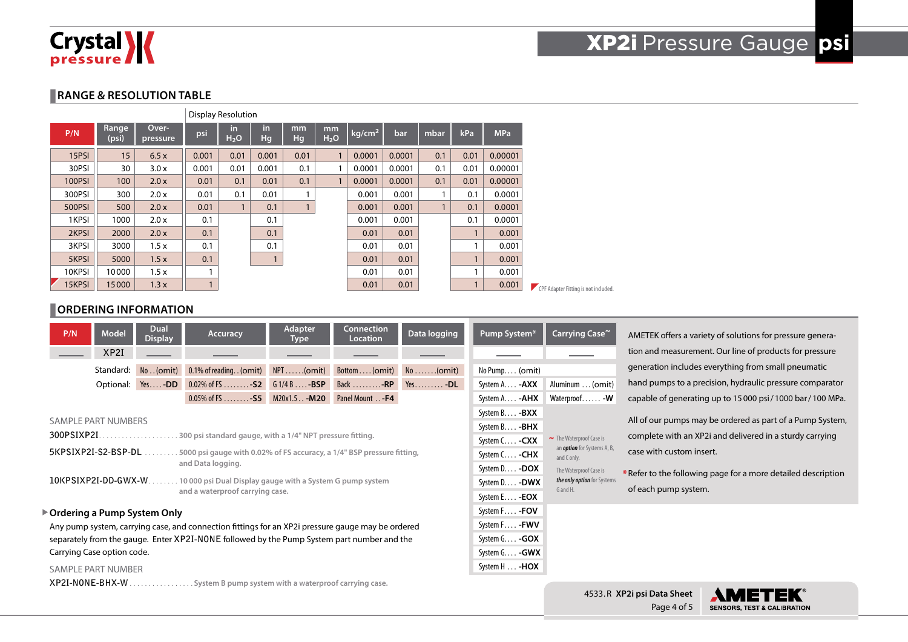

### **RANGE & RESOLUTION TABLE**

|               |                |                   |       | <b>Display Resolution</b> |           |              |                        |                    |        |              |              |            |                                      |
|---------------|----------------|-------------------|-------|---------------------------|-----------|--------------|------------------------|--------------------|--------|--------------|--------------|------------|--------------------------------------|
| P/N           | Range<br>(psi) | Over-<br>pressure | psi   | in.<br>H <sub>2</sub> O   | in.<br>Hg | mm<br>Hg     | mm<br>H <sub>2</sub> O | kg/cm <sup>2</sup> | bar    | mbar         | kPa          | <b>MPa</b> |                                      |
| 15PSI         | 15             | 6.5x              | 0.001 | 0.01                      | 0.001     | 0.01         | $\mathbf{1}$           | 0.0001             | 0.0001 | 0.1          | 0.01         | 0.00001    |                                      |
| 30PSI         | 30             | 3.0x              | 0.001 | 0.01                      | 0.001     | 0.1          | 1                      | 0.0001             | 0.0001 | 0.1          | 0.01         | 0.00001    |                                      |
| <b>100PSI</b> | 100            | 2.0x              | 0.01  | 0.1                       | 0.01      | 0.1          | $\mathbf{1}$           | 0.0001             | 0.0001 | 0.1          | 0.01         | 0.00001    |                                      |
| 300PSI        | 300            | 2.0 x             | 0.01  | 0.1                       | 0.01      |              |                        | 0.001              | 0.001  |              | 0.1          | 0.0001     |                                      |
| 500PSI        | 500            | 2.0x              | 0.01  | $\mathbf{1}$              | 0.1       | $\mathbf{1}$ |                        | 0.001              | 0.001  | $\mathbf{1}$ | 0.1          | 0.0001     |                                      |
| 1KPSI         | 1000           | 2.0 x             | 0.1   |                           | 0.1       |              |                        | 0.001              | 0.001  |              | 0.1          | 0.0001     |                                      |
| 2KPSI         | 2000           | 2.0x              | 0.1   |                           | 0.1       |              |                        | 0.01               | 0.01   |              | $\mathbf{1}$ | 0.001      |                                      |
| 3KPSI         | 3000           | 1.5x              | 0.1   |                           | 0.1       |              |                        | 0.01               | 0.01   |              | и            | 0.001      |                                      |
| 5KPSI         | 5000           | 1.5x              | 0.1   |                           |           |              |                        | 0.01               | 0.01   |              | $\mathbf{1}$ | 0.001      |                                      |
| 10KPSI        | 10000          | 1.5x              |       |                           |           |              |                        | 0.01               | 0.01   |              |              | 0.001      |                                      |
| 15KPSI        | 15000          | 1.3x              |       |                           |           |              |                        | 0.01               | 0.01   |              | 1            | 0.001      | CPF Adapter Fitting is not included. |

### **ORDERING INFORMATION**

| P/N                                                                                        | <b>Model</b>         | <b>Dual</b><br><b>Display</b> | <b>Accuracy</b>                                                                                   | <b>Adapter</b><br>Type | <b>Connection</b><br><b>Location</b> | Data logging | Pump System*            | Carrying Case~                                                                     | AMETEK offers a variety of solutions for pressure genera-     |  |  |  |
|--------------------------------------------------------------------------------------------|----------------------|-------------------------------|---------------------------------------------------------------------------------------------------|------------------------|--------------------------------------|--------------|-------------------------|------------------------------------------------------------------------------------|---------------------------------------------------------------|--|--|--|
|                                                                                            | XP2I                 |                               |                                                                                                   |                        |                                      |              |                         |                                                                                    | tion and measurement. Our line of products for pressure       |  |  |  |
|                                                                                            | Standard:            | No. (omit)                    | 0.1% of reading. . (omit)                                                                         | $NPT$ (omit)           | $Bottom (omit)$ $No(omit)$           |              | No Pump (omit)          |                                                                                    | generation includes everything from small pneumatic           |  |  |  |
|                                                                                            | Optional:            | $Yes -DD$                     | 0.02% of FS  - S2 $61/4B$ - BSP                                                                   |                        | Back - $RP$ Yes - $DL$               |              | System A. - <b>AXX</b>  | Aluminum  (omit)                                                                   | hand pumps to a precision, hydraulic pressure comparator      |  |  |  |
|                                                                                            |                      |                               | $0.05\%$ of FS - S5 M20x1.5. . - M20                                                              |                        | Panel Mount -F4                      |              | System A. - <b>AHX</b>  | Waterproof - W                                                                     | capable of generating up to 15000 psi/1000 bar/100 MPa.       |  |  |  |
|                                                                                            |                      |                               |                                                                                                   |                        |                                      |              | System B. - <b>BXX</b>  |                                                                                    |                                                               |  |  |  |
|                                                                                            | SAMPLE PART NUMBERS  |                               |                                                                                                   |                        |                                      |              | System B - <b>BHX</b>   |                                                                                    | All of our pumps may be ordered as part of a Pump System,     |  |  |  |
| 300PSIXP2I.                                                                                |                      | .                             | .300 psi standard gauge, with a 1/4" NPT pressure fitting.                                        |                        |                                      |              | System C - CXX          | $\sim$ The Waterproof Case is<br>an <i>option</i> for Systems A, B,<br>and C only. | complete with an XP2i and delivered in a sturdy carrying      |  |  |  |
|                                                                                            | 5KPSIXP2I-S2-BSP-DL  |                               | .5000 psi gauge with 0.02% of FS accuracy, a 1/4" BSP pressure fitting,                           |                        |                                      |              | System C - CHX          |                                                                                    | case with custom insert.                                      |  |  |  |
|                                                                                            |                      |                               | and Data logging.                                                                                 |                        |                                      |              | System D - DOX          | The Waterproof Case is                                                             | * Refer to the following page for a more detailed description |  |  |  |
|                                                                                            | 10KPSIXP2I-DD-GWX-W. |                               | . 10000 psi Dual Display gauge with a System G pump system                                        |                        |                                      |              | System D - DWX          | the only option for Systems                                                        |                                                               |  |  |  |
|                                                                                            |                      |                               | and a waterproof carrying case.                                                                   |                        |                                      |              | System E - <b>EOX</b>   | G and H.                                                                           | of each pump system.                                          |  |  |  |
|                                                                                            |                      | ▶ Ordering a Pump System Only |                                                                                                   |                        |                                      |              | System F - FOV          |                                                                                    |                                                               |  |  |  |
|                                                                                            |                      |                               | Any pump system, carrying case, and connection fittings for an XP2i pressure gauge may be ordered |                        |                                      |              | System F - FWV          |                                                                                    |                                                               |  |  |  |
| separately from the gauge. Enter XP2I-NONE followed by the Pump System part number and the |                      |                               |                                                                                                   |                        |                                      |              | System $G. \ldots -GOX$ |                                                                                    |                                                               |  |  |  |
| Carrying Case option code.                                                                 |                      |                               |                                                                                                   |                        |                                      |              | System G - GWX          |                                                                                    |                                                               |  |  |  |
| SAMPLE PART NUMBER                                                                         |                      |                               |                                                                                                   |                        |                                      |              |                         |                                                                                    |                                                               |  |  |  |
|                                                                                            |                      | $XP2I-NONE-BHX-W$             | . System B pump system with a waterproof carrying case.                                           |                        |                                      |              |                         |                                                                                    |                                                               |  |  |  |